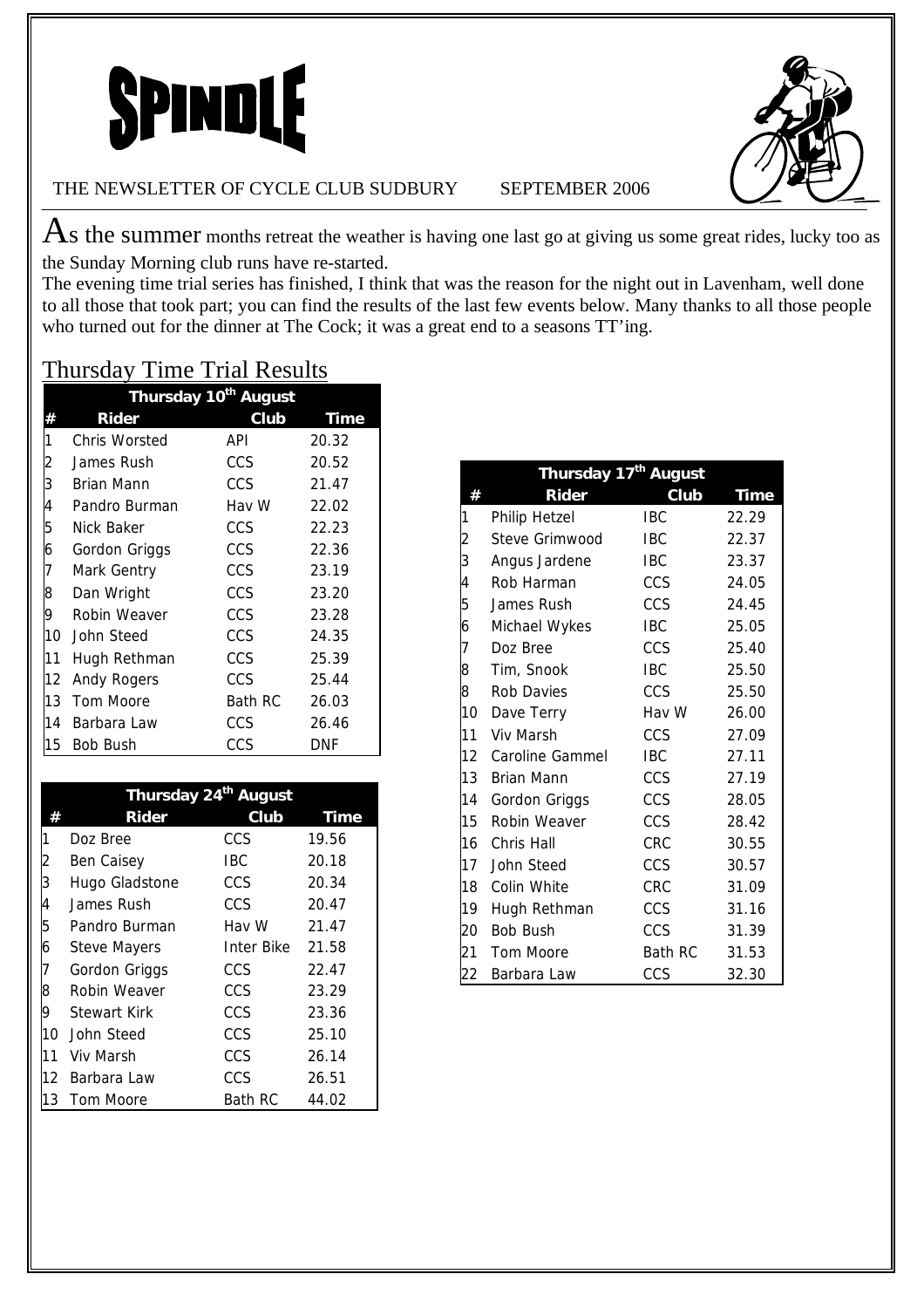



#### THE NEWSLETTER OF CYCLE CLUB SUDBURY SEPTEMBER 2006

 $\text{As}$  the summer months retreat the weather is having one last go at giving us some great rides, lucky too as the Sunday Morning club runs have re-started.

The evening time trial series has finished, I think that was the reason for the night out in Lavenham, well done to all those that took part; you can find the results of the last few events below. Many thanks to all those people who turned out for the dinner at The Cock; it was a great end to a seasons TT'ing.

|                | Thursday 10 <sup>th</sup> August |                |             |  |
|----------------|----------------------------------|----------------|-------------|--|
|                | Rider                            | Club           | <b>Time</b> |  |
| 1              | Chris Worsted                    | API            | 20.32       |  |
| $\overline{c}$ | James Rush                       | CCS            | 20.52       |  |
| 3              | Brian Mann                       | CCS            | 21.47       |  |
| 4              | Pandro Burman                    | Hav W          | 22.02       |  |
| 5              | Nick Baker                       | <b>CCS</b>     | 22.23       |  |
| 6              | Gordon Griggs                    | CCS            | 22.36       |  |
| 7              | Mark Gentry                      | CCS            | 23.19       |  |
| 8              | Dan Wright                       | CCS.           | 23.20       |  |
| 9              | Robin Weaver                     | CCS.           | 23.28       |  |
| 10             | John Steed                       | CCS.           | 24.35       |  |
| 11             | Hugh Rethman                     | <b>CCS</b>     | 25.39       |  |
| 12             | Andy Rogers                      | <b>CCS</b>     | 25.44       |  |
| 13             | Tom Moore                        | <b>Bath RC</b> | 26.03       |  |
| 14             | Barbara Law                      | <b>CCS</b>     | 26.46       |  |
| 15             | <b>Bob Bush</b>                  | CCS            | <b>DNF</b>  |  |

| <b>Thursday Time Trial Results</b> |  |  |
|------------------------------------|--|--|
|                                    |  |  |

|    | Thursday 24 <sup>th</sup> August |            |             |  |
|----|----------------------------------|------------|-------------|--|
|    | <b>Rider</b>                     | Club       | <b>Time</b> |  |
| 1  | Doz Bree                         | CCS        | 19.56       |  |
| 2  | Ben Caisey                       | <b>IBC</b> | 20.18       |  |
| 3  | Hugo Gladstone                   | CCS        | 20.34       |  |
| 4  | James Rush                       | CCS        | 20.47       |  |
| 5  | Pandro Burman                    | Hav W      | 21.47       |  |
| 6  | <b>Steve Mayers</b>              | Inter Bike | 21.58       |  |
| 7  | Gordon Griggs                    | CCS        | 22.47       |  |
| 8  | Robin Weaver                     | CCS        | 23.29       |  |
| 9  | Stewart Kirk                     | CCS        | 23.36       |  |
| 10 | John Steed                       | CCS        | 25.10       |  |
| 11 | Viv Marsh                        | CCS        | 26.14       |  |
|    | 12 Barbara Law                   | CCS        | 26.51       |  |
| 13 | Tom Moore                        | Bath RC    | 44.02       |  |

|    | Thursday 17 <sup>th</sup> August |                |             |
|----|----------------------------------|----------------|-------------|
| #  | Rider                            | Club           | <b>Time</b> |
| 1  | Philip Hetzel                    | <b>IBC</b>     | 22.29       |
| 2  | Steve Grimwood                   | IBC            | 22.37       |
| 3  | Angus Jardene                    | <b>IBC</b>     | 23.37       |
| 4  | Rob Harman                       | CCS            | 24.05       |
| 5  | James Rush                       | CCS            | 24.45       |
| 6  | Michael Wykes                    | <b>IBC</b>     | 25.05       |
| 7  | Doz Bree                         | CCS            | 25.40       |
| 8  | Tim, Snook                       | <b>IBC</b>     | 25.50       |
| 8  | Rob Davies                       | CCS            | 25.50       |
| 10 | Dave Terry                       | Hav W          | 26.00       |
| 11 | <b>Viv Marsh</b>                 | CCS            | 27.09       |
|    | 12 Caroline Gammel               | <b>IBC</b>     | 27.11       |
| 13 | Brian Mann                       | CCS            | 27.19       |
| 14 | Gordon Griggs                    | CCS            | 28.05       |
| 15 | Robin Weaver                     | <b>CCS</b>     | 28.42       |
| 16 | Chris Hall                       | <b>CRC</b>     | 30.55       |
| 17 | John Steed                       | CCS            | 30.57       |
| 18 | Colin White                      | CRC            | 31.09       |
| 19 | Hugh Rethman                     | <b>CCS</b>     | 31.16       |
| 20 | <b>Bob Bush</b>                  | CCS            | 31.39       |
| 21 | Tom Moore                        | <b>Bath RC</b> | 31.53       |
| 22 | Barbara Law                      | CCS            | 32.30       |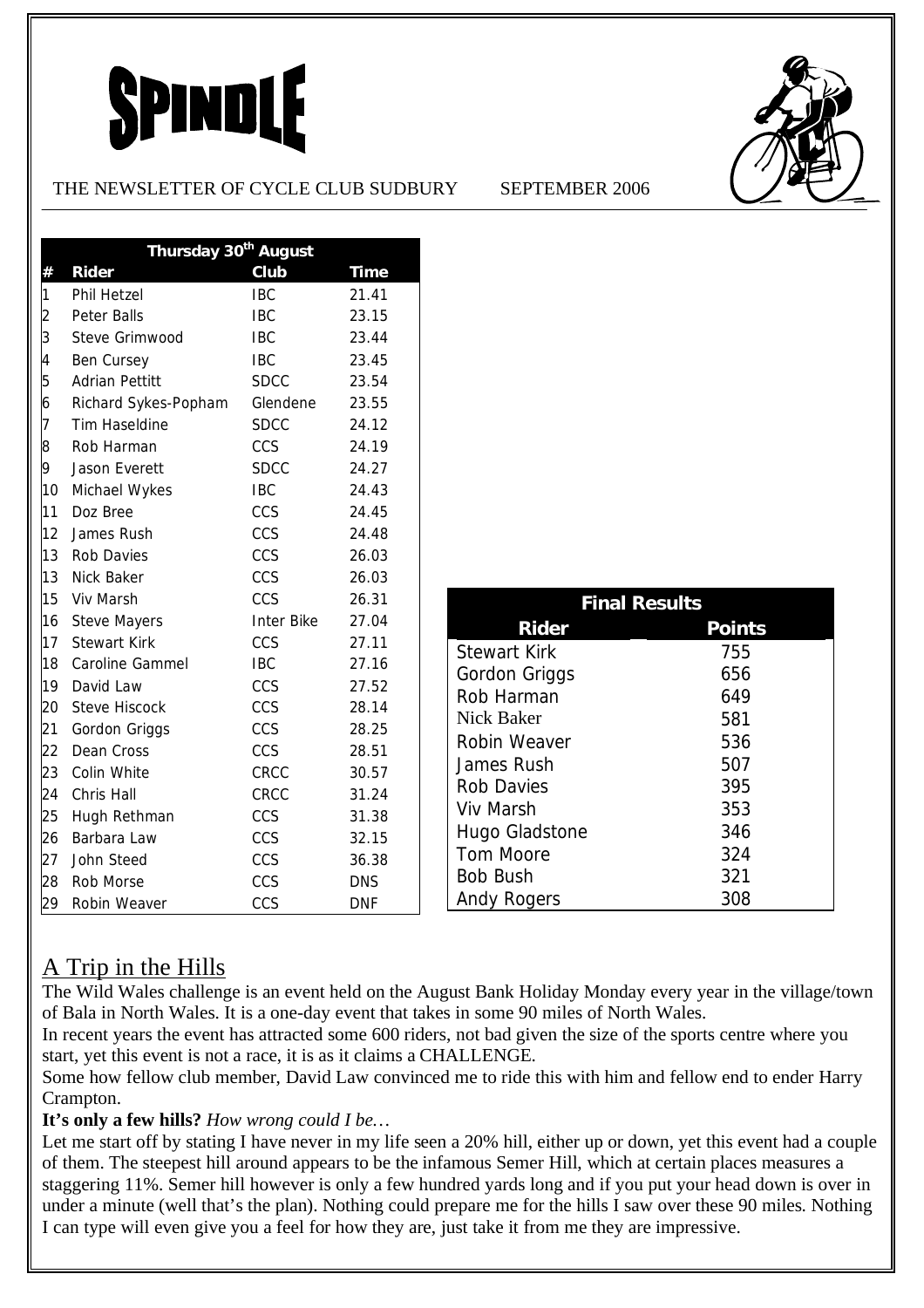# **SPINDLE**

### THE NEWSLETTER OF CYCLE CLUB SUDBURY SEPTEMBER 2006





|                | Thursday 30 <sup>th</sup> August |                   |            |  |
|----------------|----------------------------------|-------------------|------------|--|
| #              | <b>Rider</b>                     | Club              | Time       |  |
| 1              | <b>Phil Hetzel</b>               | <b>IBC</b>        | 21.41      |  |
| $\overline{c}$ | <b>Peter Balls</b>               | <b>IBC</b>        | 23.15      |  |
| 3              | Steve Grimwood                   | <b>IBC</b>        | 23.44      |  |
| 4              | Ben Cursey                       | <b>IBC</b>        | 23.45      |  |
| 5              | <b>Adrian Pettitt</b>            | <b>SDCC</b>       | 23.54      |  |
| 6              | Richard Sykes-Popham             | Glendene          | 23.55      |  |
| 7              | <b>Tim Haseldine</b>             | <b>SDCC</b>       | 24.12      |  |
| 8              | Rob Harman                       | CCS               | 24.19      |  |
| 9              | Jason Everett                    | <b>SDCC</b>       | 24.27      |  |
| 10             | Michael Wykes                    | <b>IBC</b>        | 24.43      |  |
| 11             | Doz Bree                         | CCS               | 24.45      |  |
| 12             | James Rush                       | CCS               | 24.48      |  |
| 13             | <b>Rob Davies</b>                | CCS               | 26.03      |  |
| 13             | Nick Baker                       | CCS               | 26.03      |  |
| 15             | Viv Marsh                        | CCS               | 26.31      |  |
| 16             | <b>Steve Mayers</b>              | <b>Inter Bike</b> | 27.04      |  |
| 17             | <b>Stewart Kirk</b>              | CCS               | 27.11      |  |
| 18             | Caroline Gammel                  | <b>IBC</b>        | 27.16      |  |
| 19             | David Law                        | CCS               | 27.52      |  |
| 20             | <b>Steve Hiscock</b>             | CCS               | 28.14      |  |
| 21             | Gordon Griggs                    | CCS               | 28.25      |  |
| 22             | Dean Cross                       | CCS               | 28.51      |  |
| 23             | Colin White                      | CRCC              | 30.57      |  |
| 24             | Chris Hall                       | CRCC              | 31.24      |  |
| 25             | Hugh Rethman                     | CCS               | 31.38      |  |
| 26             | Barbara Law                      | CCS               | 32.15      |  |
| 27             | John Steed                       | CCS               | 36.38      |  |
| 28             | Rob Morse                        | CCS               | <b>DNS</b> |  |
| 29             | Robin Weaver                     | CCS               | <b>DNF</b> |  |

| <b>Final Results</b>          |     |  |  |
|-------------------------------|-----|--|--|
| <b>Rider</b><br><b>Points</b> |     |  |  |
| <b>Stewart Kirk</b>           | 755 |  |  |
| Gordon Griggs                 | 656 |  |  |
| Rob Harman                    | 649 |  |  |
| Nick Baker                    | 581 |  |  |
| Robin Weaver                  | 536 |  |  |
| James Rush                    | 507 |  |  |
| <b>Rob Davies</b>             | 395 |  |  |
| Viv Marsh                     | 353 |  |  |
| Hugo Gladstone                | 346 |  |  |
| Tom Moore                     | 324 |  |  |
| <b>Bob Bush</b>               | 321 |  |  |
| <b>Andy Rogers</b>            | 308 |  |  |

# A Trip in the Hills

The Wild Wales challenge is an event held on the August Bank Holiday Monday every year in the village/town of Bala in North Wales. It is a one-day event that takes in some 90 miles of North Wales.

In recent years the event has attracted some 600 riders, not bad given the size of the sports centre where you start, yet this event is not a race, it is as it claims a CHALLENGE.

Some how fellow club member, David Law convinced me to ride this with him and fellow end to ender Harry Crampton.

## **It's only a few hills?** *How wrong could I be…*

Let me start off by stating I have never in my life seen a 20% hill, either up or down, yet this event had a couple of them. The steepest hill around appears to be the infamous Semer Hill, which at certain places measures a staggering 11%. Semer hill however is only a few hundred yards long and if you put your head down is over in under a minute (well that's the plan). Nothing could prepare me for the hills I saw over these 90 miles. Nothing I can type will even give you a feel for how they are, just take it from me they are impressive.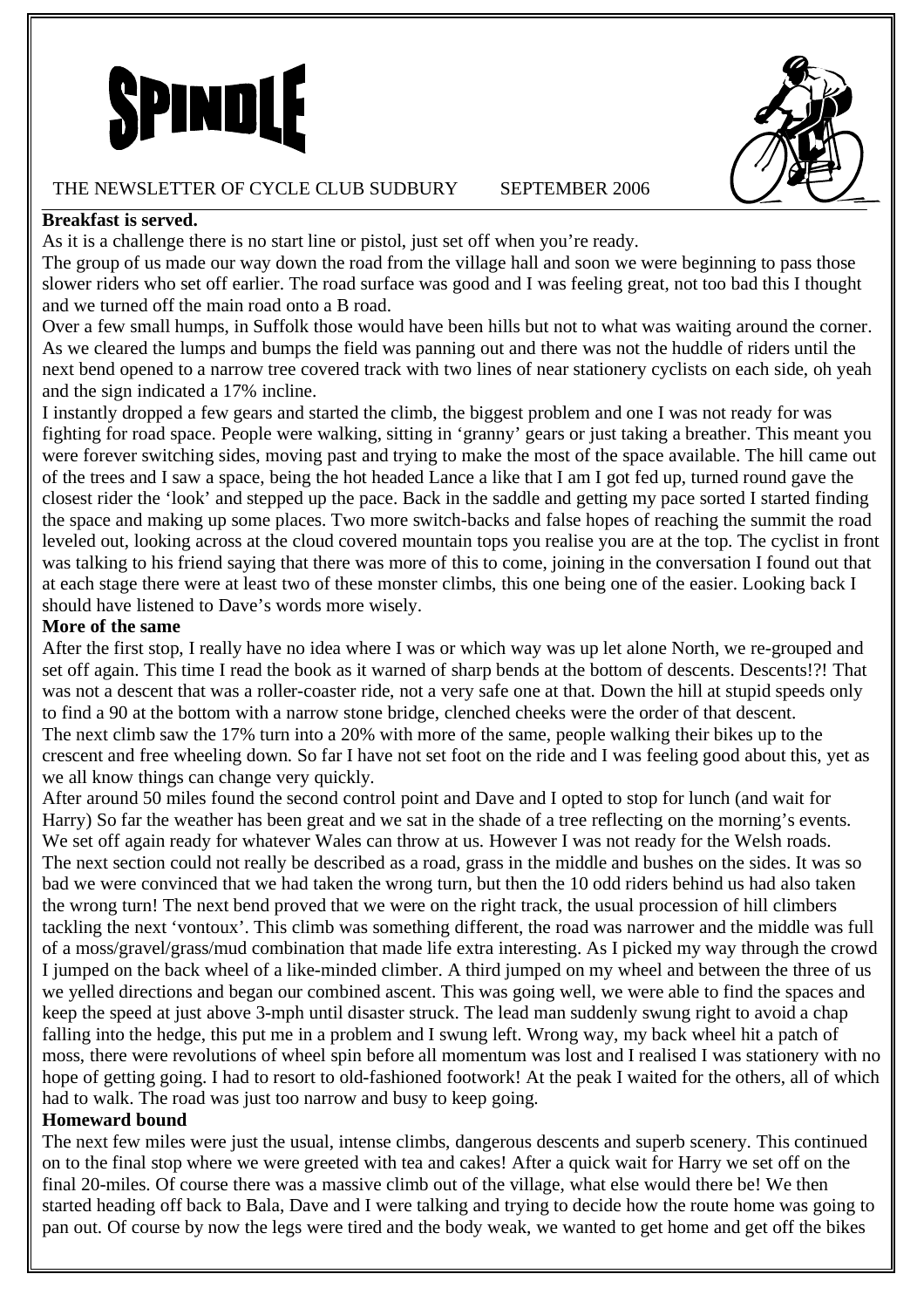

#### THE NEWSLETTER OF CYCLE CLUB SUDBURY SEPTEMBER 2006



#### **Breakfast is served.**

As it is a challenge there is no start line or pistol, just set off when you're ready.

The group of us made our way down the road from the village hall and soon we were beginning to pass those slower riders who set off earlier. The road surface was good and I was feeling great, not too bad this I thought and we turned off the main road onto a B road.

Over a few small humps, in Suffolk those would have been hills but not to what was waiting around the corner. As we cleared the lumps and bumps the field was panning out and there was not the huddle of riders until the next bend opened to a narrow tree covered track with two lines of near stationery cyclists on each side, oh yeah and the sign indicated a 17% incline.

I instantly dropped a few gears and started the climb, the biggest problem and one I was not ready for was fighting for road space. People were walking, sitting in 'granny' gears or just taking a breather. This meant you were forever switching sides, moving past and trying to make the most of the space available. The hill came out of the trees and I saw a space, being the hot headed Lance a like that I am I got fed up, turned round gave the closest rider the 'look' and stepped up the pace. Back in the saddle and getting my pace sorted I started finding the space and making up some places. Two more switch-backs and false hopes of reaching the summit the road leveled out, looking across at the cloud covered mountain tops you realise you are at the top. The cyclist in front was talking to his friend saying that there was more of this to come, joining in the conversation I found out that at each stage there were at least two of these monster climbs, this one being one of the easier. Looking back I should have listened to Dave's words more wisely.

#### **More of the same**

After the first stop, I really have no idea where I was or which way was up let alone North, we re-grouped and set off again. This time I read the book as it warned of sharp bends at the bottom of descents. Descents!?! That was not a descent that was a roller-coaster ride, not a very safe one at that. Down the hill at stupid speeds only to find a 90 at the bottom with a narrow stone bridge, clenched cheeks were the order of that descent. The next climb saw the 17% turn into a 20% with more of the same, people walking their bikes up to the crescent and free wheeling down. So far I have not set foot on the ride and I was feeling good about this, yet as we all know things can change very quickly.

After around 50 miles found the second control point and Dave and I opted to stop for lunch (and wait for Harry) So far the weather has been great and we sat in the shade of a tree reflecting on the morning's events. We set off again ready for whatever Wales can throw at us. However I was not ready for the Welsh roads. The next section could not really be described as a road, grass in the middle and bushes on the sides. It was so bad we were convinced that we had taken the wrong turn, but then the 10 odd riders behind us had also taken the wrong turn! The next bend proved that we were on the right track, the usual procession of hill climbers tackling the next 'vontoux'. This climb was something different, the road was narrower and the middle was full of a moss/gravel/grass/mud combination that made life extra interesting. As I picked my way through the crowd I jumped on the back wheel of a like-minded climber. A third jumped on my wheel and between the three of us we yelled directions and began our combined ascent. This was going well, we were able to find the spaces and keep the speed at just above 3-mph until disaster struck. The lead man suddenly swung right to avoid a chap falling into the hedge, this put me in a problem and I swung left. Wrong way, my back wheel hit a patch of moss, there were revolutions of wheel spin before all momentum was lost and I realised I was stationery with no hope of getting going. I had to resort to old-fashioned footwork! At the peak I waited for the others, all of which had to walk. The road was just too narrow and busy to keep going.

#### **Homeward bound**

The next few miles were just the usual, intense climbs, dangerous descents and superb scenery. This continued on to the final stop where we were greeted with tea and cakes! After a quick wait for Harry we set off on the final 20-miles. Of course there was a massive climb out of the village, what else would there be! We then started heading off back to Bala, Dave and I were talking and trying to decide how the route home was going to pan out. Of course by now the legs were tired and the body weak, we wanted to get home and get off the bikes